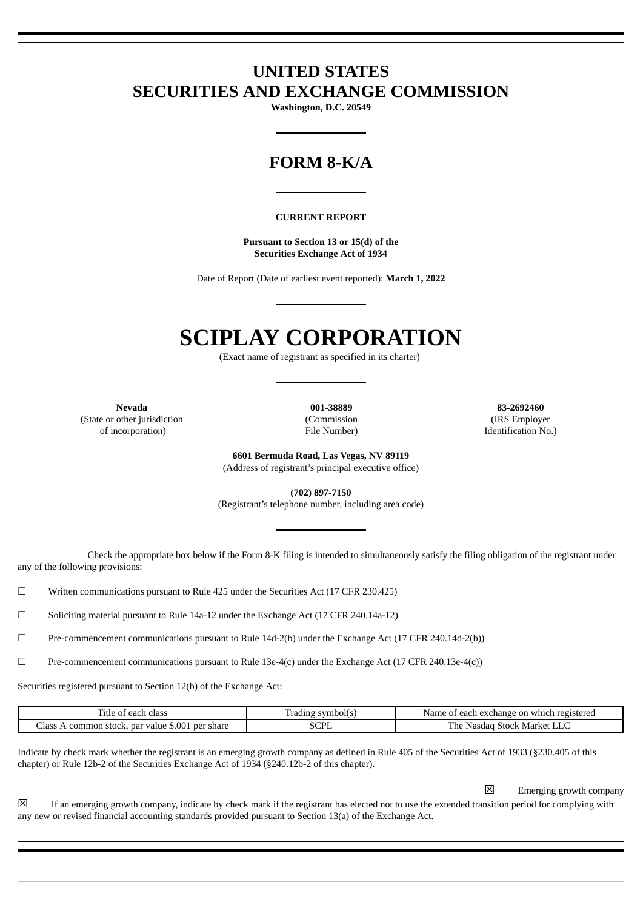# **UNITED STATES SECURITIES AND EXCHANGE COMMISSION**

**Washington, D.C. 20549**

# **FORM 8-K/A**

#### **CURRENT REPORT**

**Pursuant to Section 13 or 15(d) of the Securities Exchange Act of 1934**

Date of Report (Date of earliest event reported): **March 1, 2022**

# **SCIPLAY CORPORATION**

(Exact name of registrant as specified in its charter)

(State or other jurisdiction (Commission (Commission (IRS Employer of incorporation) and the Vumber) (IRS Employer of incorporation)

**Nevada 001-38889 83-2692460** Identification No.)

> **6601 Bermuda Road, Las Vegas, NV 89119** (Address of registrant's principal executive office)

**(702) 897-7150** (Registrant's telephone number, including area code)

Check the appropriate box below if the Form 8-K filing is intended to simultaneously satisfy the filing obligation of the registrant under any of the following provisions:

 $\Box$  Written communications pursuant to Rule 425 under the Securities Act (17 CFR 230.425)

☐ Soliciting material pursuant to Rule 14a-12 under the Exchange Act (17 CFR 240.14a-12)

☐ Pre-commencement communications pursuant to Rule 14d-2(b) under the Exchange Act (17 CFR 240.14d-2(b))

☐ Pre-commencement communications pursuant to Rule 13e-4(c) under the Exchange Act (17 CFR 240.13e-4(c))

Securities registered pursuant to Section 12(b) of the Exchange Act:

| l'itle<br>class<br>each                                                    | symbol(s<br>adıng - | registered<br>exchange on :<br>which<br>'Name<br>each                         |
|----------------------------------------------------------------------------|---------------------|-------------------------------------------------------------------------------|
| \$.001<br>' share<br>.lass<br><b>Der</b><br>par value<br>.stock.<br>common | $\sim$<br>انتلان    | . Market i<br>$\cdot$ 5100 $^{\prime\prime}$<br>. he<br>Nasdac<br><b>LILL</b> |

Indicate by check mark whether the registrant is an emerging growth company as defined in Rule 405 of the Securities Act of 1933 (§230.405 of this chapter) or Rule 12b-2 of the Securities Exchange Act of 1934 (§240.12b-2 of this chapter).

☒ Emerging growth company

 $\boxtimes$  If an emerging growth company, indicate by check mark if the registrant has elected not to use the extended transition period for complying with any new or revised financial accounting standards provided pursuant to Section 13(a) of the Exchange Act.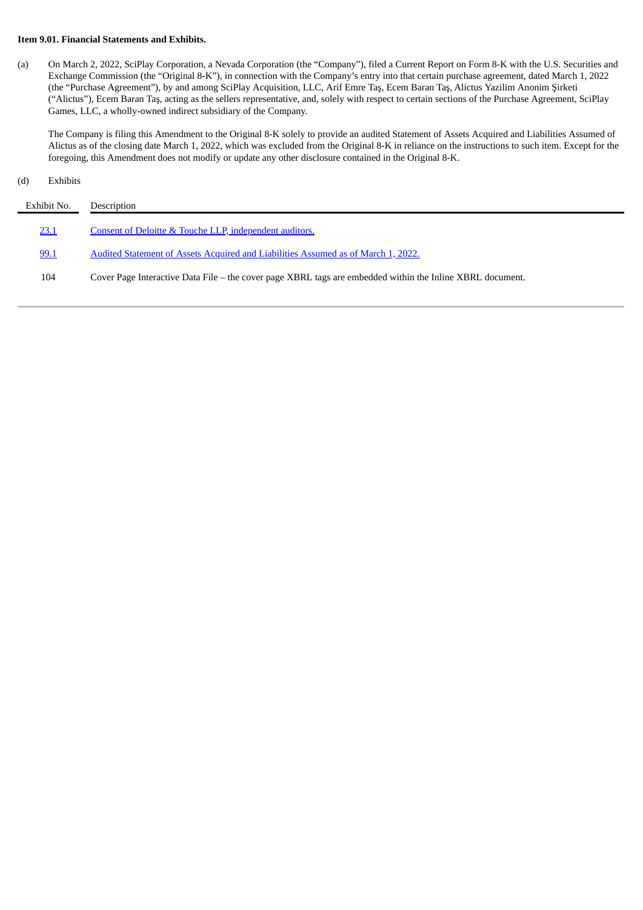# **Item 9.01. Financial Statements and Exhibits.**

(a) On March 2, 2022, SciPlay Corporation, a Nevada Corporation (the "Company"), filed a Current Report on Form 8-K with the U.S. Securities and Exchange Commission (the "Original 8-K"), in connection with the Company's entry into that certain purchase agreement, dated March 1, 2022 (the "Purchase Agreement"), by and among SciPlay Acquisition, LLC, Arif Emre Taş, Ecem Baran Taş, Alictus Yazilim Anonim Şirketi ("Alictus"), Ecem Baran Taş, acting as the sellers representative, and, solely with respect to certain sections of the Purchase Agreement, SciPlay Games, LLC, a wholly-owned indirect subsidiary of the Company.

The Company is filing this Amendment to the Original 8-K solely to provide an audited Statement of Assets Acquired and Liabilities Assumed of Alictus as of the closing date March 1, 2022, which was excluded from the Original 8-K in reliance on the instructions to such item. Except for the foregoing, this Amendment does not modify or update any other disclosure contained in the Original 8-K.

# (d) Exhibits

| Exhibit No. | Description                                                                                               |
|-------------|-----------------------------------------------------------------------------------------------------------|
| 23.1        | Consent of Deloitte & Touche LLP, independent auditors.                                                   |
| 99.1        | Audited Statement of Assets Acquired and Liabilities Assumed as of March 1, 2022.                         |
| 104         | Cover Page Interactive Data File - the cover page XBRL tags are embedded within the Inline XBRL document. |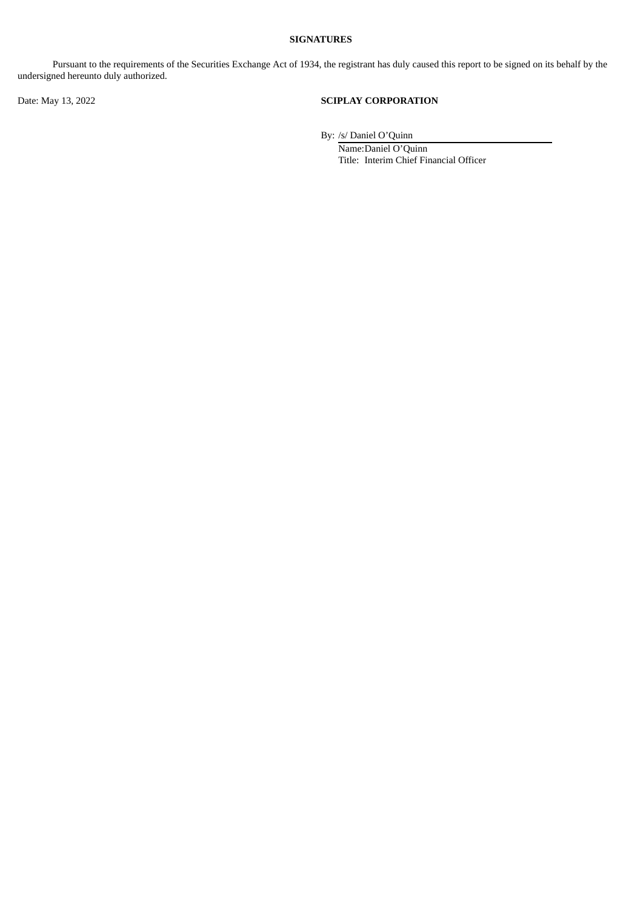# **SIGNATURES**

Pursuant to the requirements of the Securities Exchange Act of 1934, the registrant has duly caused this report to be signed on its behalf by the undersigned hereunto duly authorized.

# Date: May 13, 2022 **SCIPLAY CORPORATION**

By: /s/ Daniel O'Quinn

Name:Daniel O'Quinn Title: Interim Chief Financial Officer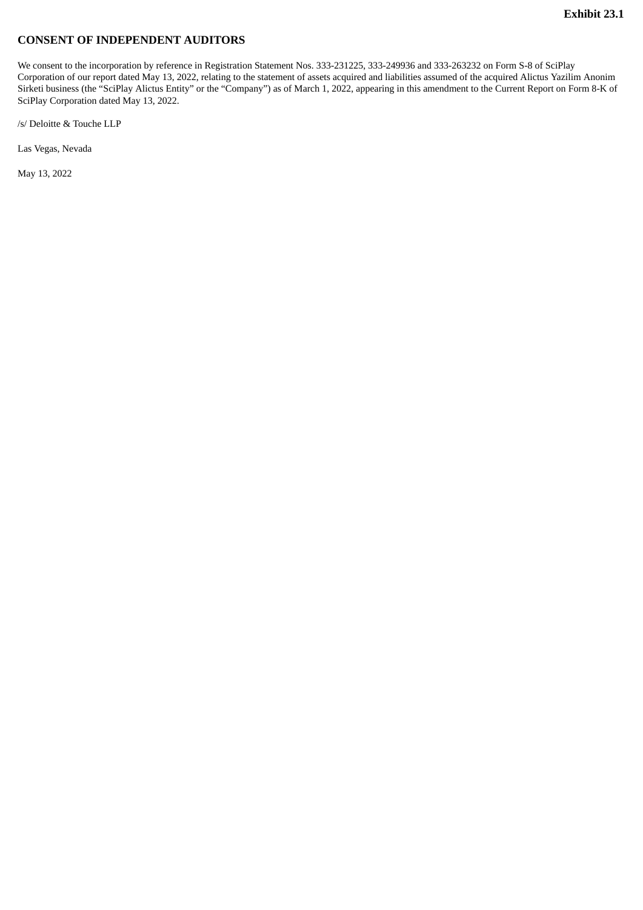# <span id="page-3-0"></span>**CONSENT OF INDEPENDENT AUDITORS**

We consent to the incorporation by reference in Registration Statement Nos. 333-231225, 333-249936 and 333-263232 on Form S-8 of SciPlay Corporation of our report dated May 13, 2022, relating to the statement of assets acquired and liabilities assumed of the acquired Alictus Yazilim Anonim Sirketi business (the "SciPlay Alictus Entity" or the "Company") as of March 1, 2022, appearing in this amendment to the Current Report on Form 8-K of SciPlay Corporation dated May 13, 2022.

/s/ Deloitte & Touche LLP

Las Vegas, Nevada

May 13, 2022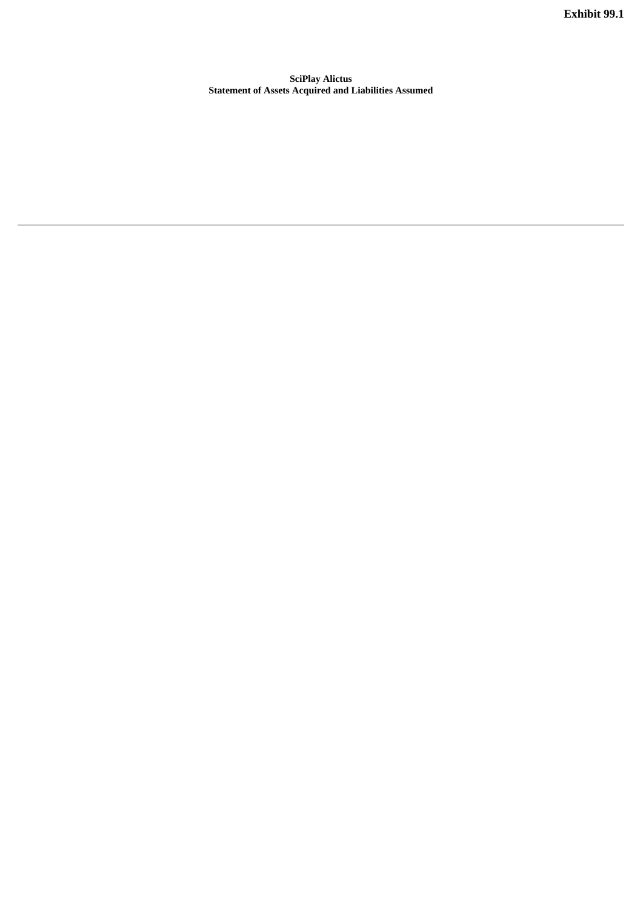**Exhibit 99.1**

<span id="page-4-0"></span>**SciPlay Alictus Statement of Assets Acquired and Liabilities Assumed**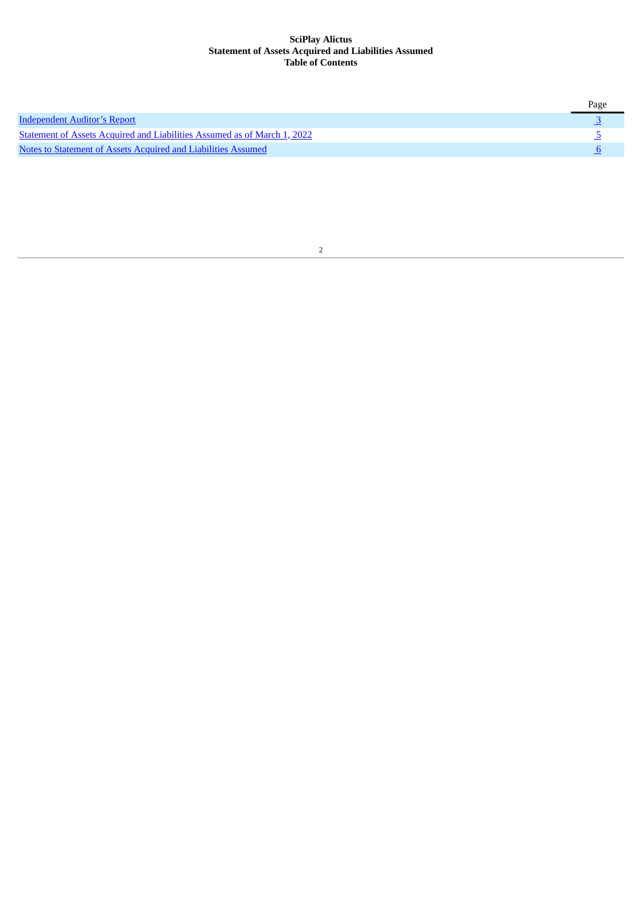# **SciPlay Alictus Statement of Assets Acquired and Liabilities Assumed Table of Contents**

|                                                                          | Page |
|--------------------------------------------------------------------------|------|
| <b>Independent Auditor's Report</b>                                      |      |
| Statement of Assets Acquired and Liabilities Assumed as of March 1, 2022 |      |
| Notes to Statement of Assets Acquired and Liabilities Assumed            |      |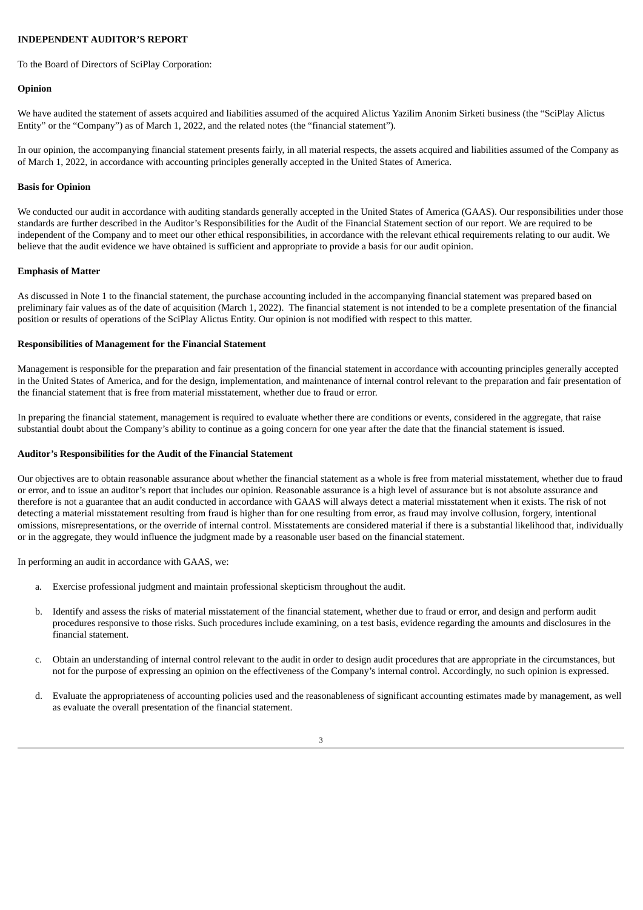# <span id="page-6-0"></span>**INDEPENDENT AUDITOR'S REPORT**

To the Board of Directors of SciPlay Corporation:

# **Opinion**

We have audited the statement of assets acquired and liabilities assumed of the acquired Alictus Yazilim Anonim Sirketi business (the "SciPlay Alictus Entity" or the "Company") as of March 1, 2022, and the related notes (the "financial statement").

In our opinion, the accompanying financial statement presents fairly, in all material respects, the assets acquired and liabilities assumed of the Company as of March 1, 2022, in accordance with accounting principles generally accepted in the United States of America.

# **Basis for Opinion**

We conducted our audit in accordance with auditing standards generally accepted in the United States of America (GAAS). Our responsibilities under those standards are further described in the Auditor's Responsibilities for the Audit of the Financial Statement section of our report. We are required to be independent of the Company and to meet our other ethical responsibilities, in accordance with the relevant ethical requirements relating to our audit. We believe that the audit evidence we have obtained is sufficient and appropriate to provide a basis for our audit opinion.

# **Emphasis of Matter**

As discussed in Note 1 to the financial statement, the purchase accounting included in the accompanying financial statement was prepared based on preliminary fair values as of the date of acquisition (March 1, 2022). The financial statement is not intended to be a complete presentation of the financial position or results of operations of the SciPlay Alictus Entity. Our opinion is not modified with respect to this matter.

#### **Responsibilities of Management for the Financial Statement**

Management is responsible for the preparation and fair presentation of the financial statement in accordance with accounting principles generally accepted in the United States of America, and for the design, implementation, and maintenance of internal control relevant to the preparation and fair presentation of the financial statement that is free from material misstatement, whether due to fraud or error.

In preparing the financial statement, management is required to evaluate whether there are conditions or events, considered in the aggregate, that raise substantial doubt about the Company's ability to continue as a going concern for one year after the date that the financial statement is issued.

# **Auditor's Responsibilities for the Audit of the Financial Statement**

Our objectives are to obtain reasonable assurance about whether the financial statement as a whole is free from material misstatement, whether due to fraud or error, and to issue an auditor's report that includes our opinion. Reasonable assurance is a high level of assurance but is not absolute assurance and therefore is not a guarantee that an audit conducted in accordance with GAAS will always detect a material misstatement when it exists. The risk of not detecting a material misstatement resulting from fraud is higher than for one resulting from error, as fraud may involve collusion, forgery, intentional omissions, misrepresentations, or the override of internal control. Misstatements are considered material if there is a substantial likelihood that, individually or in the aggregate, they would influence the judgment made by a reasonable user based on the financial statement.

In performing an audit in accordance with GAAS, we:

- a. Exercise professional judgment and maintain professional skepticism throughout the audit.
- b. Identify and assess the risks of material misstatement of the financial statement, whether due to fraud or error, and design and perform audit procedures responsive to those risks. Such procedures include examining, on a test basis, evidence regarding the amounts and disclosures in the financial statement.
- c. Obtain an understanding of internal control relevant to the audit in order to design audit procedures that are appropriate in the circumstances, but not for the purpose of expressing an opinion on the effectiveness of the Company's internal control. Accordingly, no such opinion is expressed.
- d. Evaluate the appropriateness of accounting policies used and the reasonableness of significant accounting estimates made by management, as well as evaluate the overall presentation of the financial statement.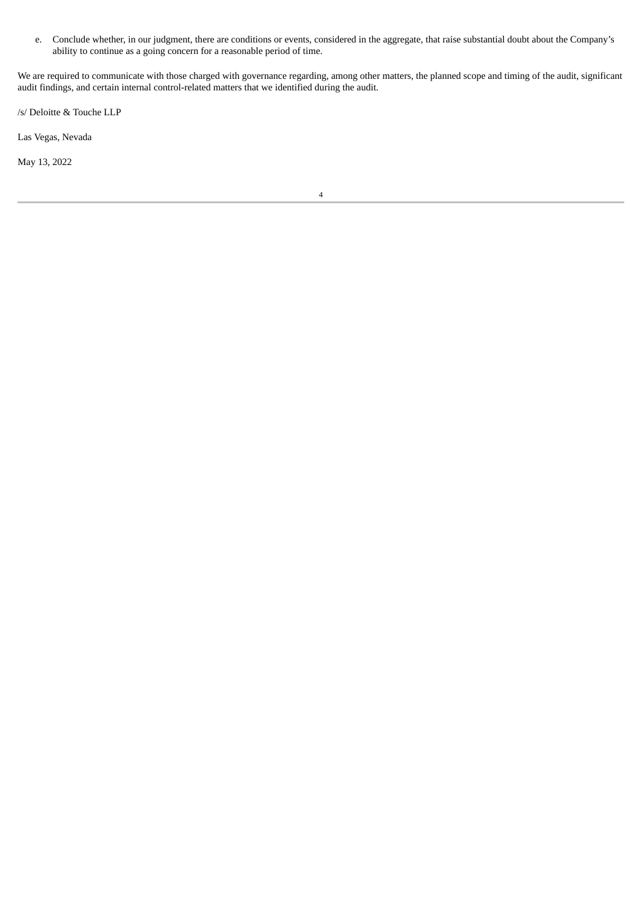e. Conclude whether, in our judgment, there are conditions or events, considered in the aggregate, that raise substantial doubt about the Company's ability to continue as a going concern for a reasonable period of time.

We are required to communicate with those charged with governance regarding, among other matters, the planned scope and timing of the audit, significant audit findings, and certain internal control-related matters that we identified during the audit.

/s/ Deloitte & Touche LLP

Las Vegas, Nevada

May 13, 2022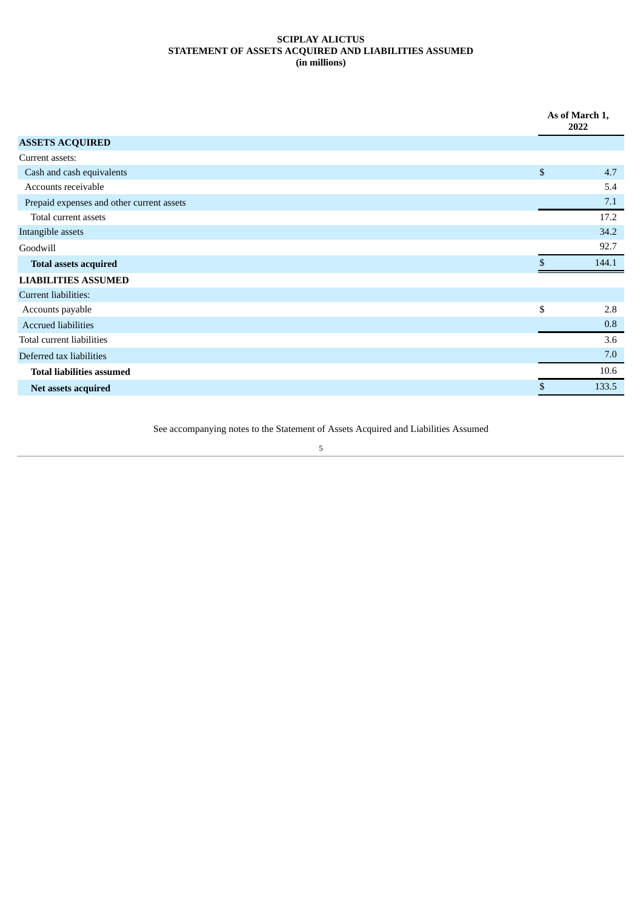# <span id="page-8-0"></span>**SCIPLAY ALICTUS STATEMENT OF ASSETS ACQUIRED AND LIABILITIES ASSUMED (in millions)**

|                                           |                | As of March 1,<br>2022 |  |
|-------------------------------------------|----------------|------------------------|--|
| <b>ASSETS ACQUIRED</b>                    |                |                        |  |
| Current assets:                           |                |                        |  |
| Cash and cash equivalents                 | $\mathfrak{S}$ | 4.7                    |  |
| Accounts receivable                       |                | 5.4                    |  |
| Prepaid expenses and other current assets |                | 7.1                    |  |
| Total current assets                      |                | 17.2                   |  |
| Intangible assets                         |                | 34.2                   |  |
| Goodwill                                  |                | 92.7                   |  |
| <b>Total assets acquired</b>              | \$.            | 144.1                  |  |
| <b>LIABILITIES ASSUMED</b>                |                |                        |  |
| Current liabilities:                      |                |                        |  |
| Accounts payable                          | \$             | 2.8                    |  |
| <b>Accrued liabilities</b>                |                | 0.8                    |  |
| Total current liabilities                 |                | 3.6                    |  |
| Deferred tax liabilities                  |                | 7.0                    |  |
| <b>Total liabilities assumed</b>          |                | 10.6                   |  |
| Net assets acquired                       |                | 133.5                  |  |

See accompanying notes to the Statement of Assets Acquired and Liabilities Assumed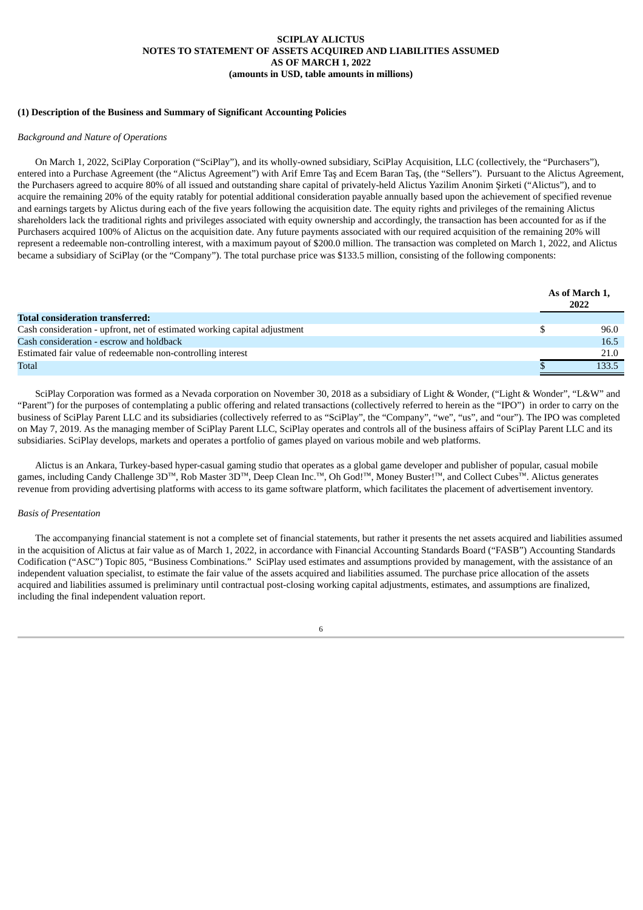# **SCIPLAY ALICTUS NOTES TO STATEMENT OF ASSETS ACQUIRED AND LIABILITIES ASSUMED AS OF MARCH 1, 2022 (amounts in USD, table amounts in millions)**

# <span id="page-9-0"></span>**(1) Description of the Business and Summary of Significant Accounting Policies**

#### *Background and Nature of Operations*

On March 1, 2022, SciPlay Corporation ("SciPlay"), and its wholly-owned subsidiary, SciPlay Acquisition, LLC (collectively, the "Purchasers"), entered into a Purchase Agreement (the "Alictus Agreement") with Arif Emre Taş and Ecem Baran Taş, (the "Sellers"). Pursuant to the Alictus Agreement, the Purchasers agreed to acquire 80% of all issued and outstanding share capital of privately-held Alictus Yazilim Anonim Şirketi ("Alictus"), and to acquire the remaining 20% of the equity ratably for potential additional consideration payable annually based upon the achievement of specified revenue and earnings targets by Alictus during each of the five years following the acquisition date. The equity rights and privileges of the remaining Alictus shareholders lack the traditional rights and privileges associated with equity ownership and accordingly, the transaction has been accounted for as if the Purchasers acquired 100% of Alictus on the acquisition date. Any future payments associated with our required acquisition of the remaining 20% will represent a redeemable non-controlling interest, with a maximum payout of \$200.0 million. The transaction was completed on March 1, 2022, and Alictus became a subsidiary of SciPlay (or the "Company"). The total purchase price was \$133.5 million, consisting of the following components:

|                                                                           |  | As of March 1,<br>2022 |  |
|---------------------------------------------------------------------------|--|------------------------|--|
| Total consideration transferred:                                          |  |                        |  |
| Cash consideration - upfront, net of estimated working capital adjustment |  | 96.0                   |  |
| Cash consideration - escrow and holdback                                  |  | <b>16.5</b>            |  |
| Estimated fair value of redeemable non-controlling interest               |  | 21.0                   |  |
| <b>Total</b>                                                              |  | 133.5                  |  |

SciPlay Corporation was formed as a Nevada corporation on November 30, 2018 as a subsidiary of Light & Wonder, ("Light & Wonder", "L&W" and "Parent") for the purposes of contemplating a public offering and related transactions (collectively referred to herein as the "IPO") in order to carry on the business of SciPlay Parent LLC and its subsidiaries (collectively referred to as "SciPlay", the "Company", "we", "us", and "our"). The IPO was completed on May 7, 2019. As the managing member of SciPlay Parent LLC, SciPlay operates and controls all of the business affairs of SciPlay Parent LLC and its subsidiaries. SciPlay develops, markets and operates a portfolio of games played on various mobile and web platforms.

Alictus is an Ankara, Turkey-based hyper-casual gaming studio that operates as a global game developer and publisher of popular, casual mobile games, including Candy Challenge 3D™, Rob Master 3D™, Deep Clean Inc.<sup>™</sup>, Oh God!™, Money Buster!™, and Collect Cubes<sup>™</sup>. Alictus generates revenue from providing advertising platforms with access to its game software platform, which facilitates the placement of advertisement inventory.

#### *Basis of Presentation*

The accompanying financial statement is not a complete set of financial statements, but rather it presents the net assets acquired and liabilities assumed in the acquisition of Alictus at fair value as of March 1, 2022, in accordance with Financial Accounting Standards Board ("FASB") Accounting Standards Codification ("ASC") Topic 805, "Business Combinations." SciPlay used estimates and assumptions provided by management, with the assistance of an independent valuation specialist, to estimate the fair value of the assets acquired and liabilities assumed. The purchase price allocation of the assets acquired and liabilities assumed is preliminary until contractual post-closing working capital adjustments, estimates, and assumptions are finalized, including the final independent valuation report.

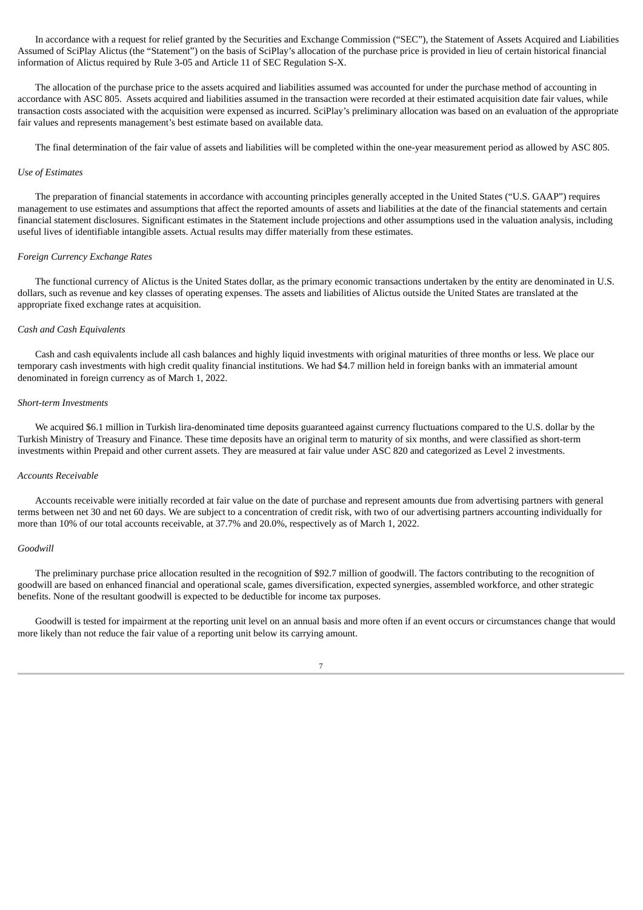In accordance with a request for relief granted by the Securities and Exchange Commission ("SEC"), the Statement of Assets Acquired and Liabilities Assumed of SciPlay Alictus (the "Statement") on the basis of SciPlay's allocation of the purchase price is provided in lieu of certain historical financial information of Alictus required by Rule 3-05 and Article 11 of SEC Regulation S-X.

The allocation of the purchase price to the assets acquired and liabilities assumed was accounted for under the purchase method of accounting in accordance with ASC 805. Assets acquired and liabilities assumed in the transaction were recorded at their estimated acquisition date fair values, while transaction costs associated with the acquisition were expensed as incurred. SciPlay's preliminary allocation was based on an evaluation of the appropriate fair values and represents management's best estimate based on available data.

The final determination of the fair value of assets and liabilities will be completed within the one-year measurement period as allowed by ASC 805.

#### *Use of Estimates*

The preparation of financial statements in accordance with accounting principles generally accepted in the United States ("U.S. GAAP") requires management to use estimates and assumptions that affect the reported amounts of assets and liabilities at the date of the financial statements and certain financial statement disclosures. Significant estimates in the Statement include projections and other assumptions used in the valuation analysis, including useful lives of identifiable intangible assets. Actual results may differ materially from these estimates.

#### *Foreign Currency Exchange Rates*

The functional currency of Alictus is the United States dollar, as the primary economic transactions undertaken by the entity are denominated in U.S. dollars, such as revenue and key classes of operating expenses. The assets and liabilities of Alictus outside the United States are translated at the appropriate fixed exchange rates at acquisition.

#### *Cash and Cash Equivalents*

Cash and cash equivalents include all cash balances and highly liquid investments with original maturities of three months or less. We place our temporary cash investments with high credit quality financial institutions. We had \$4.7 million held in foreign banks with an immaterial amount denominated in foreign currency as of March 1, 2022.

#### *Short-term Investments*

We acquired \$6.1 million in Turkish lira-denominated time deposits guaranteed against currency fluctuations compared to the U.S. dollar by the Turkish Ministry of Treasury and Finance. These time deposits have an original term to maturity of six months, and were classified as short-term investments within Prepaid and other current assets. They are measured at fair value under ASC 820 and categorized as Level 2 investments.

#### *Accounts Receivable*

Accounts receivable were initially recorded at fair value on the date of purchase and represent amounts due from advertising partners with general terms between net 30 and net 60 days. We are subject to a concentration of credit risk, with two of our advertising partners accounting individually for more than 10% of our total accounts receivable, at 37.7% and 20.0%, respectively as of March 1, 2022.

#### *Goodwill*

The preliminary purchase price allocation resulted in the recognition of \$92.7 million of goodwill. The factors contributing to the recognition of goodwill are based on enhanced financial and operational scale, games diversification, expected synergies, assembled workforce, and other strategic benefits. None of the resultant goodwill is expected to be deductible for income tax purposes.

Goodwill is tested for impairment at the reporting unit level on an annual basis and more often if an event occurs or circumstances change that would more likely than not reduce the fair value of a reporting unit below its carrying amount.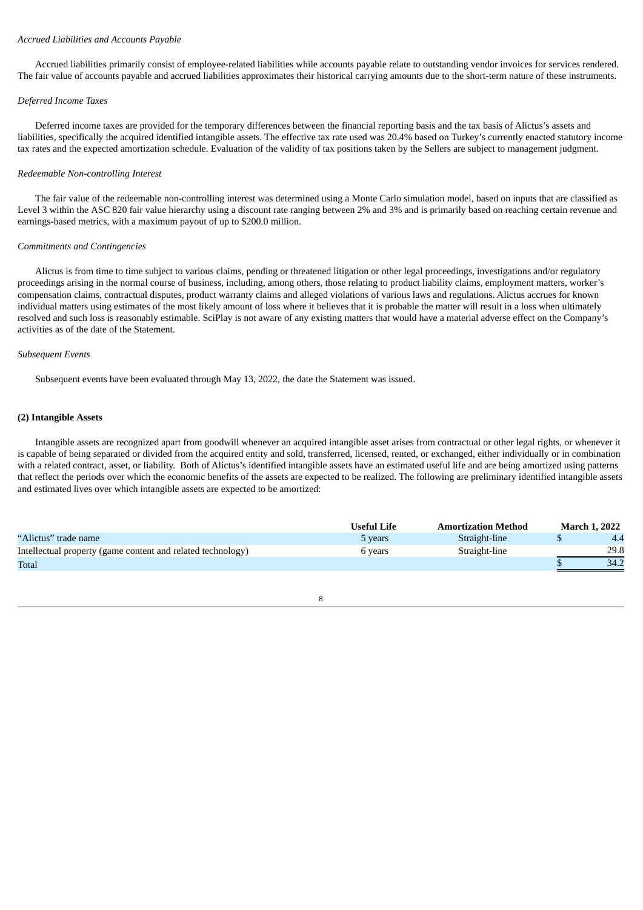# *Accrued Liabilities and Accounts Payable*

Accrued liabilities primarily consist of employee-related liabilities while accounts payable relate to outstanding vendor invoices for services rendered. The fair value of accounts payable and accrued liabilities approximates their historical carrying amounts due to the short-term nature of these instruments.

# *Deferred Income Taxes*

Deferred income taxes are provided for the temporary differences between the financial reporting basis and the tax basis of Alictus's assets and liabilities, specifically the acquired identified intangible assets. The effective tax rate used was 20.4% based on Turkey's currently enacted statutory income tax rates and the expected amortization schedule. Evaluation of the validity of tax positions taken by the Sellers are subject to management judgment.

# *Redeemable Non-controlling Interest*

The fair value of the redeemable non-controlling interest was determined using a Monte Carlo simulation model, based on inputs that are classified as Level 3 within the ASC 820 fair value hierarchy using a discount rate ranging between 2% and 3% and is primarily based on reaching certain revenue and earnings-based metrics, with a maximum payout of up to \$200.0 million.

#### *Commitments and Contingencies*

Alictus is from time to time subject to various claims, pending or threatened litigation or other legal proceedings, investigations and/or regulatory proceedings arising in the normal course of business, including, among others, those relating to product liability claims, employment matters, worker's compensation claims, contractual disputes, product warranty claims and alleged violations of various laws and regulations. Alictus accrues for known individual matters using estimates of the most likely amount of loss where it believes that it is probable the matter will result in a loss when ultimately resolved and such loss is reasonably estimable. SciPlay is not aware of any existing matters that would have a material adverse effect on the Company's activities as of the date of the Statement.

#### *Subsequent Events*

Subsequent events have been evaluated through May 13, 2022, the date the Statement was issued.

#### **(2) Intangible Assets**

Intangible assets are recognized apart from goodwill whenever an acquired intangible asset arises from contractual or other legal rights, or whenever it is capable of being separated or divided from the acquired entity and sold, transferred, licensed, rented, or exchanged, either individually or in combination with a related contract, asset, or liability. Both of Alictus's identified intangible assets have an estimated useful life and are being amortized using patterns that reflect the periods over which the economic benefits of the assets are expected to be realized. The following are preliminary identified intangible assets and estimated lives over which intangible assets are expected to be amortized:

|                                                             | Useful Life | <b>Amortization Method</b> | March 1. 2022 |
|-------------------------------------------------------------|-------------|----------------------------|---------------|
| "Alictus" trade name                                        | 5 years     | Straight-line              | 4.4           |
| Intellectual property (game content and related technology) | 5 vears     | Straight-line              | 29.8          |
| Total                                                       |             |                            | 34.2          |